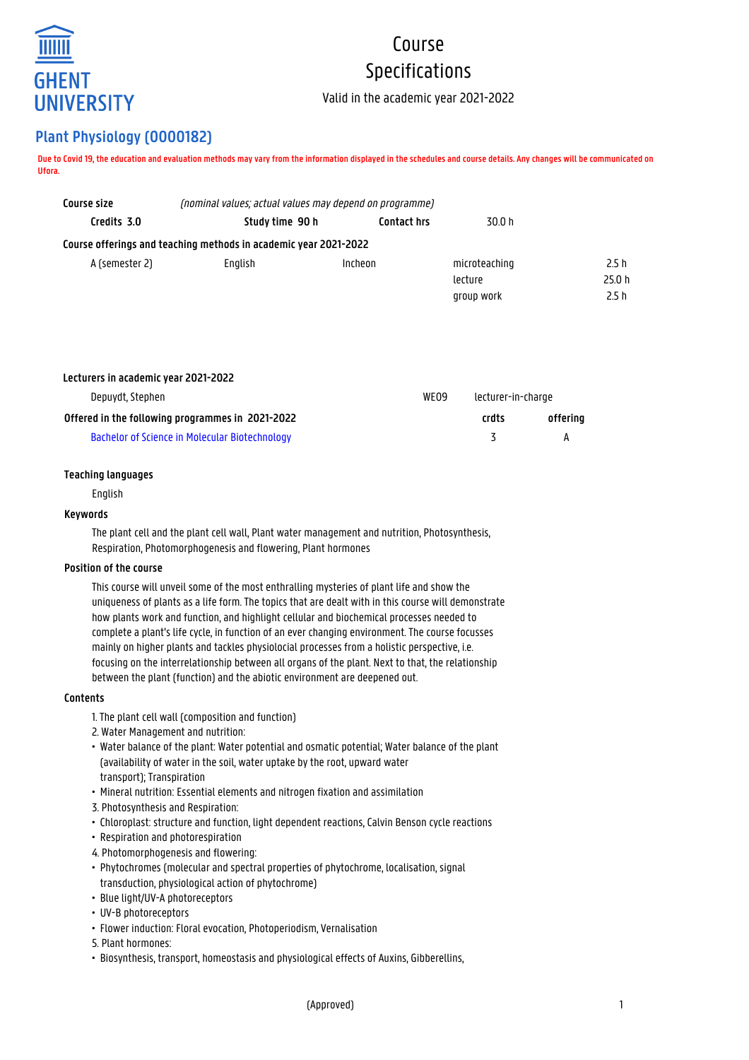

# Course Specifications

Valid in the academic year 2021-2022

# **Plant Physiology (O000182)**

**Due to Covid 19, the education and evaluation methods may vary from the information displayed in the schedules and course details. Any changes will be communicated on Ufora.**

| Course size    | (nominal values; actual values may depend on programme)          |             |               |        |  |
|----------------|------------------------------------------------------------------|-------------|---------------|--------|--|
| Credits 3.0    | Study time 90 h                                                  | Contact hrs | 30.0 h        |        |  |
|                | Course offerings and teaching methods in academic year 2021-2022 |             |               |        |  |
| A (semester 2) | Enalish                                                          | Incheon     | microteaching | 2.5h   |  |
|                |                                                                  |             | lecture       | 25.0 h |  |
|                |                                                                  |             | group work    | 2.5h   |  |

| Lecturers in academic year 2021-2022             |  |                    |          |
|--------------------------------------------------|--|--------------------|----------|
| Depuydt, Stephen<br>WE09                         |  | lecturer-in-charge |          |
| Offered in the following programmes in 2021-2022 |  | crdts              | offerina |
| Bachelor of Science in Molecular Biotechnology   |  | $\sim$             | А        |

# **Teaching languages**

English

## **Keywords**

The plant cell and the plant cell wall, Plant water management and nutrition, Photosynthesis, Respiration, Photomorphogenesis and flowering, Plant hormones

# **Position of the course**

This course will unveil some of the most enthralling mysteries of plant life and show the uniqueness of plants as a life form. The topics that are dealt with in this course will demonstrate how plants work and function, and highlight cellular and biochemical processes needed to complete a plant's life cycle, in function of an ever changing environment. The course focusses mainly on higher plants and tackles physiolocial processes from a holistic perspective, i.e. focusing on the interrelationship between all organs of the plant. Next to that, the relationship between the plant (function) and the abiotic environment are deepened out.

# **Contents**

- 1. The plant cell wall (composition and function)
- 2. Water Management and nutrition:
- Water balance of the plant: Water potential and osmatic potential; Water balance of the plant • (availability of water in the soil, water uptake by the root, upward water • transport); Transpiration
- Mineral nutrition: Essential elements and nitrogen fixation and assimilation
- 3. Photosynthesis and Respiration:
- Chloroplast: structure and function, light dependent reactions, Calvin Benson cycle reactions
- Respiration and photorespiration
- 4. Photomorphogenesis and flowering:
- Phytochromes (molecular and spectral properties of phytochrome, localisation, signal • transduction, physiological action of phytochrome)
- Blue light/UV-A photoreceptors
- UV-B photoreceptors
- Flower induction: Floral evocation, Photoperiodism, Vernalisation
- 5. Plant hormones:
- Biosynthesis, transport, homeostasis and physiological effects of Auxins, Gibberellins,